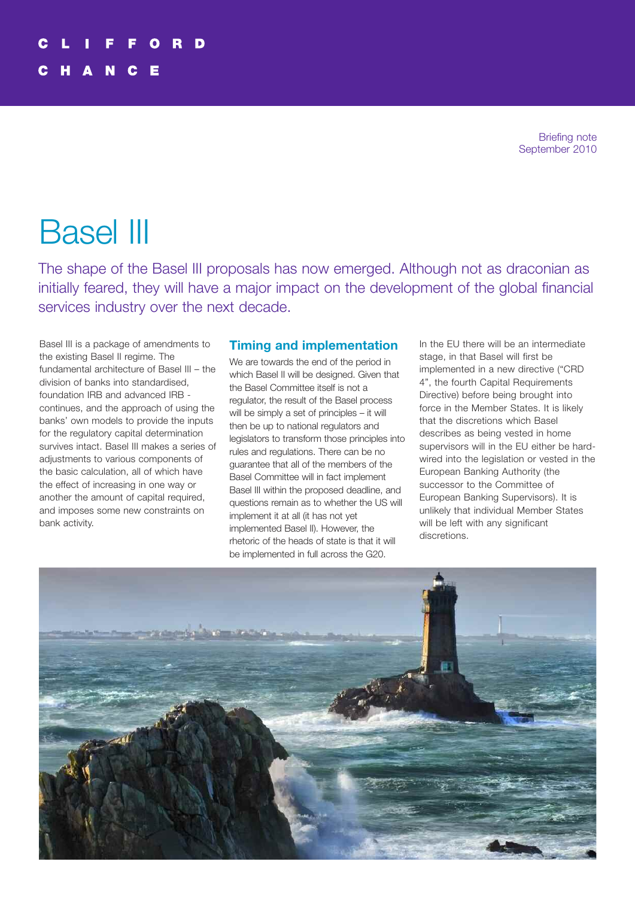Briefing note September 2010

# Basel III

The shape of the Basel III proposals has now emerged. Although not as draconian as initially feared, they will have a major impact on the development of the global financial services industry over the next decade.

Basel III is a package of amendments to the existing Basel II regime. The fundamental architecture of Basel III – the division of banks into standardised, foundation IRB and advanced IRB continues, and the approach of using the banks' own models to provide the inputs for the regulatory capital determination survives intact. Basel III makes a series of adjustments to various components of the basic calculation, all of which have the effect of increasing in one way or another the amount of capital required, and imposes some new constraints on bank activity.

# **Timing and implementation**

We are towards the end of the period in which Basel II will be designed. Given that the Basel Committee itself is not a regulator, the result of the Basel process will be simply a set of principles – it will then be up to national regulators and legislators to transform those principles into rules and regulations. There can be no guarantee that all of the members of the Basel Committee will in fact implement Basel III within the proposed deadline, and questions remain as to whether the US will implement it at all (it has not yet implemented Basel II). However, the rhetoric of the heads of state is that it will be implemented in full across the G20.

In the EU there will be an intermediate stage, in that Basel will first be implemented in a new directive ("CRD 4", the fourth Capital Requirements Directive) before being brought into force in the Member States. It is likely that the discretions which Basel describes as being vested in home supervisors will in the EU either be hardwired into the legislation or vested in the European Banking Authority (the successor to the Committee of European Banking Supervisors). It is unlikely that individual Member States will be left with any significant discretions.

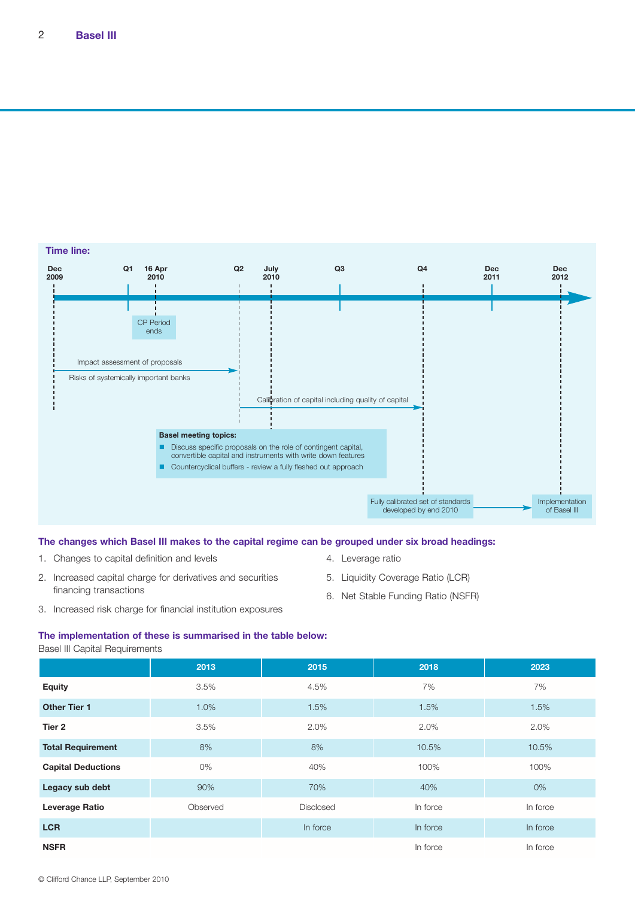

#### **The changes which Basel III makes to the capital regime can be grouped under six broad headings:**

1. Changes to capital definition and levels

- 4. Leverage ratio
- 2. Increased capital charge for derivatives and securities financing transactions
- 5. Liquidity Coverage Ratio (LCR)
- 6. Net Stable Funding Ratio (NSFR)
- 3. Increased risk charge for financial institution exposures

**The implementation of these is summarised in the table below:**

| Basel III Capital Requirements |
|--------------------------------|
|                                |

|                           | 2013     | 2015             | 2018     | 2023     |
|---------------------------|----------|------------------|----------|----------|
| <b>Equity</b>             | 3.5%     | 4.5%             | 7%       | 7%       |
| <b>Other Tier 1</b>       | 1.0%     | 1.5%             | 1.5%     | 1.5%     |
| Tier 2                    | 3.5%     | 2.0%             | 2.0%     | 2.0%     |
| <b>Total Requirement</b>  | 8%       | 8%               | 10.5%    | 10.5%    |
| <b>Capital Deductions</b> | 0%       | 40%              | 100%     | 100%     |
| Legacy sub debt           | 90%      | 70%              | 40%      | 0%       |
| <b>Leverage Ratio</b>     | Observed | <b>Disclosed</b> | In force | In force |
| <b>LCR</b>                |          | In force         | In force | In force |
| <b>NSFR</b>               |          |                  | In force | In force |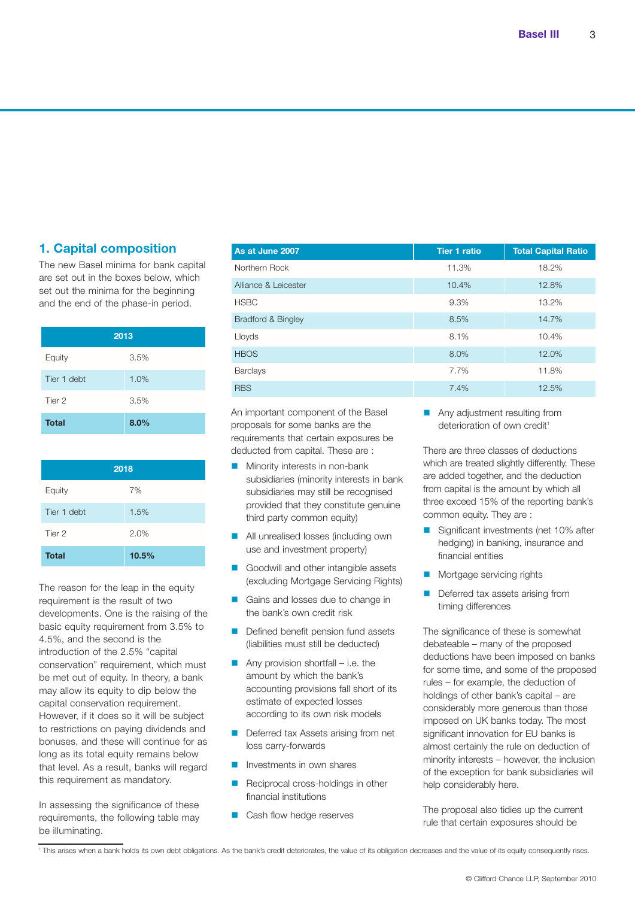# **1. Capital composition**

The new Basel minima for bank capital are set out in the boxes below, which set out the minima for the beginning and the end of the phase-in period.

| 2013         |      |  |  |  |
|--------------|------|--|--|--|
| Equity       | 3.5% |  |  |  |
| Tier 1 debt  | 1.0% |  |  |  |
| Tier 2       | 3.5% |  |  |  |
| <b>Total</b> | 8.0% |  |  |  |

| 2018         |       |  |  |  |
|--------------|-------|--|--|--|
| Equity       | 7%    |  |  |  |
| Tier 1 debt  | 1.5%  |  |  |  |
| Tier 2       | 2.0%  |  |  |  |
| <b>Total</b> | 10.5% |  |  |  |

The reason for the leap in the equity requirement is the result of two developments. One is the raising of the basic equity requirement from 3.5% to 4.5%, and the second is the introduction of the 2.5% "capital conservation" requirement, which must be met out of equity. In theory, a bank may allow its equity to dip below the capital conservation requirement. However, if it does so it will be subject to restrictions on paying dividends and bonuses, and these will continue for as long as its total equity remains below that level. As a result, banks will regard this requirement as mandatory.

In assessing the significance of these requirements, the following table may be illuminating.

| As at June 2007               | <b>Tier 1 ratio</b> | <b>Total Capital Ratio</b> |
|-------------------------------|---------------------|----------------------------|
| Northern Rock                 | 11.3%               | 18.2%                      |
| Alliance & Leicester          | 10.4%               | 12.8%                      |
| <b>HSBC</b>                   | 9.3%                | 13.2%                      |
| <b>Bradford &amp; Bingley</b> | 8.5%                | 14.7%                      |
| Lloyds                        | 8.1%                | 10.4%                      |
| <b>HBOS</b>                   | 8.0%                | 12.0%                      |
| <b>Barclays</b>               | 7.7%                | 11.8%                      |
| <b>RBS</b>                    | 7.4%                | 12.5%                      |
|                               |                     |                            |

An important component of the Basel proposals for some banks are the requirements that certain exposures be deducted from capital. These are :

- $\blacksquare$  Minority interests in non-bank subsidiaries (minority interests in bank subsidiaries may still be recognised provided that they constitute genuine third party common equity)
- **n** All unrealised losses (including own use and investment property)
- Goodwill and other intangible assets (excluding Mortgage Servicing Rights)
- Gains and losses due to change in the bank's own credit risk
- Defined benefit pension fund assets (liabilities must still be deducted)
- Any provision shortfall i.e. the amount by which the bank's accounting provisions fall short of its estimate of expected losses according to its own risk models
- Deferred tax Assets arising from net loss carry-forwards
- Investments in own shares
- Reciprocal cross-holdings in other financial institutions
- Cash flow hedge reserves

**n** Any adjustment resulting from deterioration of own credit<sup>1</sup>

There are three classes of deductions which are treated slightly differently. These are added together, and the deduction from capital is the amount by which all three exceed 15% of the reporting bank's common equity. They are :

- Significant investments (net 10% after hedging) in banking, insurance and financial entities
- **n** Mortgage servicing rights
- Deferred tax assets arising from timing differences

The significance of these is somewhat debateable – many of the proposed deductions have been imposed on banks for some time, and some of the proposed rules – for example, the deduction of holdings of other bank's capital – are considerably more generous than those imposed on UK banks today. The most significant innovation for EU banks is almost certainly the rule on deduction of minority interests – however, the inclusion of the exception for bank subsidiaries will help considerably here.

The proposal also tidies up the current rule that certain exposures should be

<sup>1</sup> This arises when a bank holds its own debt obligations. As the bank's credit deteriorates, the value of its obligation decreases and the value of its equity consequently rises.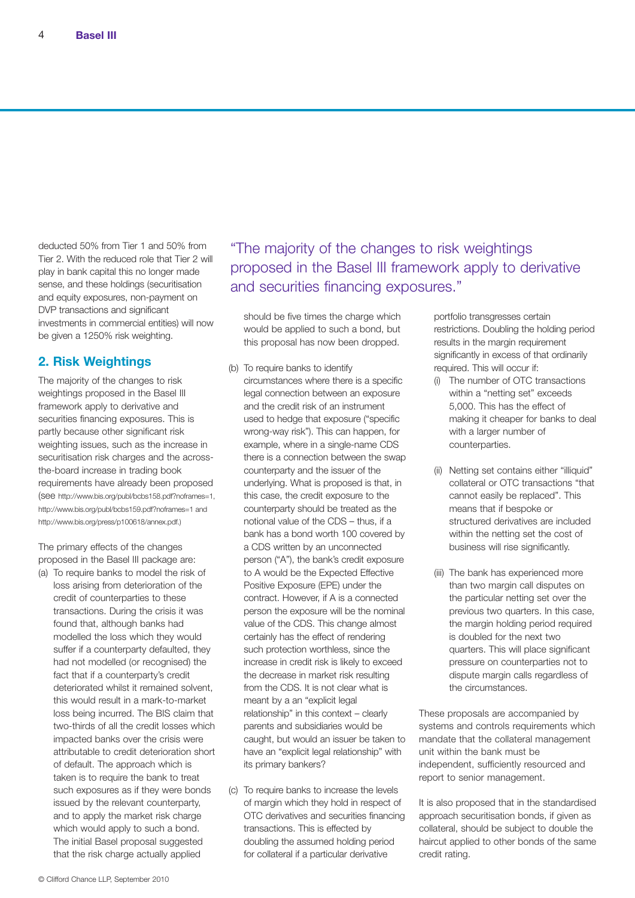deducted 50% from Tier 1 and 50% from Tier 2. With the reduced role that Tier 2 will play in bank capital this no longer made sense, and these holdings (securitisation and equity exposures, non-payment on DVP transactions and significant investments in commercial entities) will now be given a 1250% risk weighting.

### **2. Risk Weightings**

The majority of the changes to risk weightings proposed in the Basel III framework apply to derivative and securities financing exposures. This is partly because other significant risk weighting issues, such as the increase in securitisation risk charges and the acrossthe-board increase in trading book requirements have already been proposed (see [http://www.bis.org/publ/bcbs158.pdf?noframes=1,](http://www.bis.org/publ/bcbs158.pdf?noframes=1) <http://www.bis.org/publ/bcbs159.pdf?noframes=1> and [http://www.bis.org/press/p100618/annex.pdf.\)](http://www.bis.org/press/p100618/annex.pdf.)

The primary effects of the changes proposed in the Basel III package are:

(a) To require banks to model the risk of loss arising from deterioration of the credit of counterparties to these transactions. During the crisis it was found that, although banks had modelled the loss which they would suffer if a counterparty defaulted, they had not modelled (or recognised) the fact that if a counterparty's credit deteriorated whilst it remained solvent, this would result in a mark-to-market loss being incurred. The BIS claim that two-thirds of all the credit losses which impacted banks over the crisis were attributable to credit deterioration short of default. The approach which is taken is to require the bank to treat such exposures as if they were bonds issued by the relevant counterparty, and to apply the market risk charge which would apply to such a bond. The initial Basel proposal suggested that the risk charge actually applied

"The majority of the changes to risk weightings proposed in the Basel III framework apply to derivative and securities financing exposures."

should be five times the charge which would be applied to such a bond, but this proposal has now been dropped.

- (b) To require banks to identify circumstances where there is a specific legal connection between an exposure and the credit risk of an instrument used to hedge that exposure ("specific wrong-way risk"). This can happen, for example, where in a single-name CDS there is a connection between the swap counterparty and the issuer of the underlying. What is proposed is that, in this case, the credit exposure to the counterparty should be treated as the notional value of the CDS – thus, if a bank has a bond worth 100 covered by a CDS written by an unconnected person ("A"), the bank's credit exposure to A would be the Expected Effective Positive Exposure (EPE) under the contract. However, if A is a connected person the exposure will be the nominal value of the CDS. This change almost certainly has the effect of rendering such protection worthless, since the increase in credit risk is likely to exceed the decrease in market risk resulting from the CDS. It is not clear what is meant by a an "explicit legal relationship" in this context – clearly parents and subsidiaries would be caught, but would an issuer be taken to have an "explicit legal relationship" with its primary bankers?
- (c) To require banks to increase the levels of margin which they hold in respect of OTC derivatives and securities financing transactions. This is effected by doubling the assumed holding period for collateral if a particular derivative

portfolio transgresses certain restrictions. Doubling the holding period results in the margin requirement significantly in excess of that ordinarily required. This will occur if:

- (i) The number of OTC transactions within a "netting set" exceeds 5,000. This has the effect of making it cheaper for banks to deal with a larger number of counterparties.
- (ii) Netting set contains either "illiquid" collateral or OTC transactions "that cannot easily be replaced". This means that if bespoke or structured derivatives are included within the netting set the cost of business will rise significantly.
- (iii) The bank has experienced more than two margin call disputes on the particular netting set over the previous two quarters. In this case, the margin holding period required is doubled for the next two quarters. This will place significant pressure on counterparties not to dispute margin calls regardless of the circumstances.

These proposals are accompanied by systems and controls requirements which mandate that the collateral management unit within the bank must be independent, sufficiently resourced and report to senior management.

It is also proposed that in the standardised approach securitisation bonds, if given as collateral, should be subject to double the haircut applied to other bonds of the same credit rating.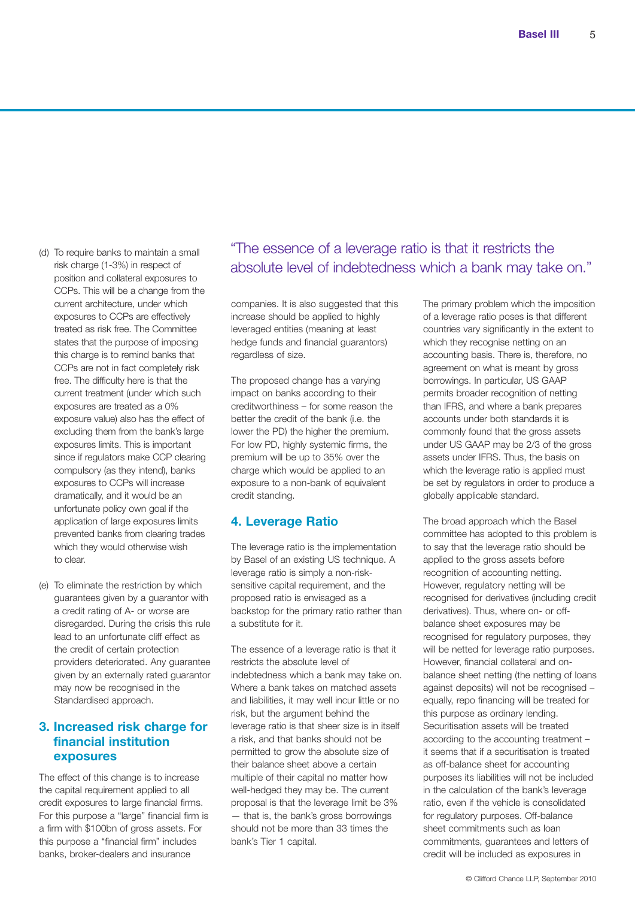- (d) To require banks to maintain a small risk charge (1-3%) in respect of position and collateral exposures to CCPs. This will be a change from the current architecture, under which exposures to CCPs are effectively treated as risk free. The Committee states that the purpose of imposing this charge is to remind banks that CCPs are not in fact completely risk free. The difficulty here is that the current treatment (under which such exposures are treated as a 0% exposure value) also has the effect of excluding them from the bank's large exposures limits. This is important since if regulators make CCP clearing compulsory (as they intend), banks exposures to CCPs will increase dramatically, and it would be an unfortunate policy own goal if the application of large exposures limits prevented banks from clearing trades which they would otherwise wish to clear.
- (e) To eliminate the restriction by which guarantees given by a guarantor with a credit rating of A- or worse are disregarded. During the crisis this rule lead to an unfortunate cliff effect as the credit of certain protection providers deteriorated. Any guarantee given by an externally rated guarantor may now be recognised in the Standardised approach.

# **3. Increased risk charge for financial institution exposures**

The effect of this change is to increase the capital requirement applied to all credit exposures to large financial firms. For this purpose a "large" financial firm is a firm with \$100bn of gross assets. For this purpose a "financial firm" includes banks, broker-dealers and insurance

# "The essence of a leverage ratio is that it restricts the absolute level of indebtedness which a bank may take on."

companies. It is also suggested that this increase should be applied to highly leveraged entities (meaning at least hedge funds and financial guarantors) regardless of size.

The proposed change has a varying impact on banks according to their creditworthiness – for some reason the better the credit of the bank (i.e. the lower the PD) the higher the premium. For low PD, highly systemic firms, the premium will be up to 35% over the charge which would be applied to an exposure to a non-bank of equivalent credit standing.

# **4. Leverage Ratio**

The leverage ratio is the implementation by Basel of an existing US technique. A leverage ratio is simply a non-risksensitive capital requirement, and the proposed ratio is envisaged as a backstop for the primary ratio rather than a substitute for it.

The essence of a leverage ratio is that it restricts the absolute level of indebtedness which a bank may take on. Where a bank takes on matched assets and liabilities, it may well incur little or no risk, but the argument behind the leverage ratio is that sheer size is in itself a risk, and that banks should not be permitted to grow the absolute size of their balance sheet above a certain multiple of their capital no matter how well-hedged they may be. The current proposal is that the leverage limit be 3% — that is, the bank's gross borrowings should not be more than 33 times the bank's Tier 1 capital.

The primary problem which the imposition of a leverage ratio poses is that different countries vary significantly in the extent to which they recognise netting on an accounting basis. There is, therefore, no agreement on what is meant by gross borrowings. In particular, US GAAP permits broader recognition of netting than IFRS, and where a bank prepares accounts under both standards it is commonly found that the gross assets under US GAAP may be 2/3 of the gross assets under IFRS. Thus, the basis on which the leverage ratio is applied must be set by regulators in order to produce a globally applicable standard.

The broad approach which the Basel committee has adopted to this problem is to say that the leverage ratio should be applied to the gross assets before recognition of accounting netting. However, regulatory netting will be recognised for derivatives (including credit derivatives). Thus, where on- or offbalance sheet exposures may be recognised for regulatory purposes, they will be netted for leverage ratio purposes. However, financial collateral and onbalance sheet netting (the netting of loans against deposits) will not be recognised – equally, repo financing will be treated for this purpose as ordinary lending. Securitisation assets will be treated according to the accounting treatment – it seems that if a securitisation is treated as off-balance sheet for accounting purposes its liabilities will not be included in the calculation of the bank's leverage ratio, even if the vehicle is consolidated for regulatory purposes. Off-balance sheet commitments such as loan commitments, guarantees and letters of credit will be included as exposures in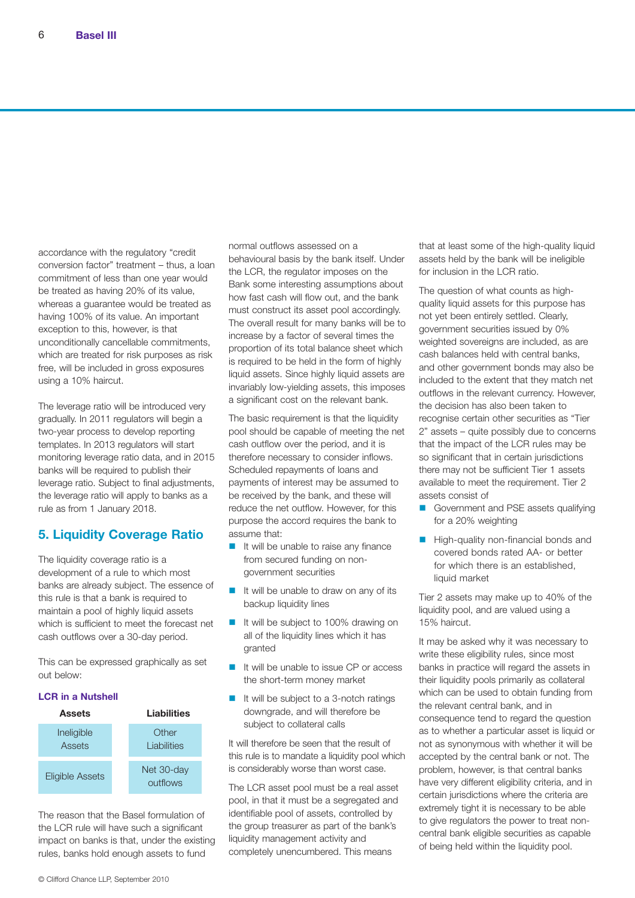accordance with the regulatory "credit conversion factor" treatment – thus, a loan commitment of less than one year would be treated as having 20% of its value, whereas a guarantee would be treated as having 100% of its value. An important exception to this, however, is that unconditionally cancellable commitments, which are treated for risk purposes as risk free, will be included in gross exposures using a 10% haircut.

The leverage ratio will be introduced very gradually. In 2011 regulators will begin a two-year process to develop reporting templates. In 2013 regulators will start monitoring leverage ratio data, and in 2015 banks will be required to publish their leverage ratio. Subject to final adjustments, the leverage ratio will apply to banks as a rule as from 1 January 2018.

# **5. Liquidity Coverage Ratio**

The liquidity coverage ratio is a development of a rule to which most banks are already subject. The essence of this rule is that a bank is required to maintain a pool of highly liquid assets which is sufficient to meet the forecast net cash outflows over a 30-day period.

This can be expressed graphically as set out below:

#### **LCR in a Nutshell**



The reason that the Basel formulation of the LCR rule will have such a significant impact on banks is that, under the existing rules, banks hold enough assets to fund

normal outflows assessed on a behavioural basis by the bank itself. Under the LCR, the regulator imposes on the Bank some interesting assumptions about how fast cash will flow out, and the bank must construct its asset pool accordingly. The overall result for many banks will be to increase by a factor of several times the proportion of its total balance sheet which is required to be held in the form of highly liquid assets. Since highly liquid assets are invariably low-yielding assets, this imposes a significant cost on the relevant bank.

The basic requirement is that the liquidity pool should be capable of meeting the net cash outflow over the period, and it is therefore necessary to consider inflows. Scheduled repayments of loans and payments of interest may be assumed to be received by the bank, and these will reduce the net outflow. However, for this purpose the accord requires the bank to assume that:

- $\blacksquare$  It will be unable to raise any finance from secured funding on nongovernment securities
- $\blacksquare$  It will be unable to draw on any of its backup liquidity lines
- It will be subject to 100% drawing on all of the liquidity lines which it has granted
- $\blacksquare$  It will be unable to issue CP or access the short-term money market
- It will be subject to a 3-notch ratings downgrade, and will therefore be subject to collateral calls

It will therefore be seen that the result of this rule is to mandate a liquidity pool which is considerably worse than worst case.

The LCR asset pool must be a real asset pool, in that it must be a segregated and identifiable pool of assets, controlled by the group treasurer as part of the bank's liquidity management activity and completely unencumbered. This means

that at least some of the high-quality liquid assets held by the bank will be ineligible for inclusion in the LCR ratio.

The question of what counts as highquality liquid assets for this purpose has not yet been entirely settled. Clearly, government securities issued by 0% weighted sovereigns are included, as are cash balances held with central banks, and other government bonds may also be included to the extent that they match net outflows in the relevant currency. However, the decision has also been taken to recognise certain other securities as "Tier 2" assets – quite possibly due to concerns that the impact of the LCR rules may be so significant that in certain jurisdictions there may not be sufficient Tier 1 assets available to meet the requirement. Tier 2 assets consist of

- **n** Government and PSE assets qualifying for a 20% weighting
- High-quality non-financial bonds and covered bonds rated AA- or better for which there is an established, liquid market

Tier 2 assets may make up to 40% of the liquidity pool, and are valued using a 15% haircut.

It may be asked why it was necessary to write these eligibility rules, since most banks in practice will regard the assets in their liquidity pools primarily as collateral which can be used to obtain funding from the relevant central bank, and in consequence tend to regard the question as to whether a particular asset is liquid or not as synonymous with whether it will be accepted by the central bank or not. The problem, however, is that central banks have very different eligibility criteria, and in certain jurisdictions where the criteria are extremely tight it is necessary to be able to give regulators the power to treat noncentral bank eligible securities as capable of being held within the liquidity pool.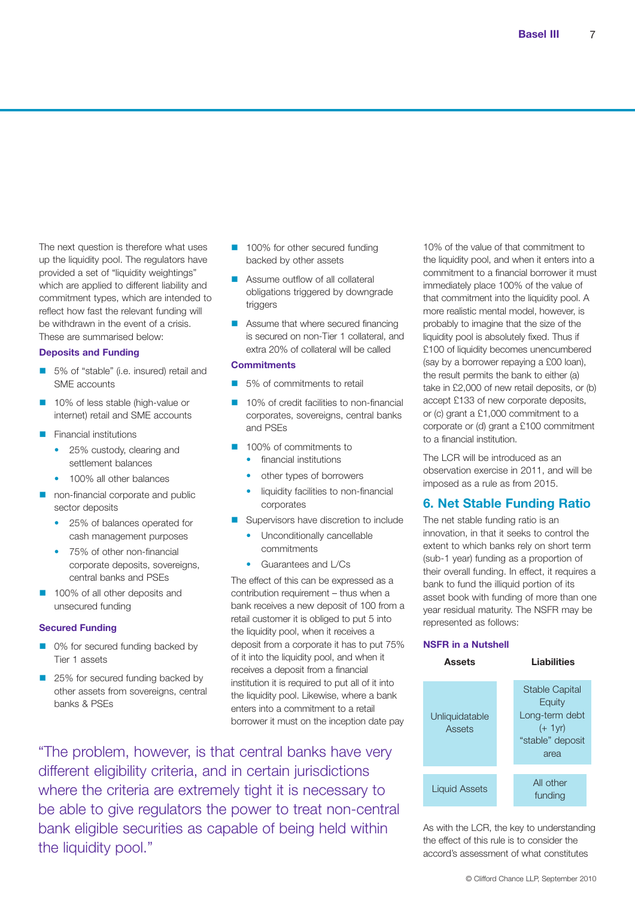The next question is therefore what uses up the liquidity pool. The regulators have provided a set of "liquidity weightings" which are applied to different liability and commitment types, which are intended to reflect how fast the relevant funding will be withdrawn in the event of a crisis. These are summarised below:

#### **Deposits and Funding**

- 5% of "stable" (i.e. insured) retail and SME accounts
- 10% of less stable (high-value or internet) retail and SME accounts
- **Financial institutions** 
	- 25% custody, clearing and settlement balances
	- 100% all other balances
- non-financial corporate and public sector deposits
	- 25% of balances operated for cash management purposes
	- 75% of other non-financial corporate deposits, sovereigns, central banks and PSEs
- n 100% of all other deposits and unsecured funding

#### **Secured Funding**

- 0% for secured funding backed by Tier 1 assets
- 25% for secured funding backed by other assets from sovereigns, central banks & PSEs
- 100% for other secured funding backed by other assets
- Assume outflow of all collateral obligations triggered by downgrade triggers
- Assume that where secured financing is secured on non-Tier 1 collateral, and extra 20% of collateral will be called

#### **Commitments**

- 5% of commitments to retail
- 10% of credit facilities to non-financial corporates, sovereigns, central banks and PSEs
- n 100% of commitments to
	- financial institutions
	- other types of borrowers
	- liquidity facilities to non-financial corporates
- **n** Supervisors have discretion to include
	- Unconditionally cancellable commitments
	- Guarantees and L/Cs

The effect of this can be expressed as a contribution requirement – thus when a bank receives a new deposit of 100 from a retail customer it is obliged to put 5 into the liquidity pool, when it receives a deposit from a corporate it has to put 75% of it into the liquidity pool, and when it receives a deposit from a financial institution it is required to put all of it into the liquidity pool. Likewise, where a bank enters into a commitment to a retail borrower it must on the inception date pay

"The problem, however, is that central banks have very different eligibility criteria, and in certain jurisdictions where the criteria are extremely tight it is necessary to be able to give regulators the power to treat non-central bank eligible securities as capable of being held within the liquidity pool."

10% of the value of that commitment to the liquidity pool, and when it enters into a commitment to a financial borrower it must immediately place 100% of the value of that commitment into the liquidity pool. A more realistic mental model, however, is probably to imagine that the size of the liquidity pool is absolutely fixed. Thus if £100 of liquidity becomes unencumbered (say by a borrower repaying a £00 loan), the result permits the bank to either (a) take in £2,000 of new retail deposits, or (b) accept £133 of new corporate deposits, or (c) grant a £1,000 commitment to a corporate or (d) grant a £100 commitment to a financial institution.

The LCR will be introduced as an observation exercise in 2011, and will be imposed as a rule as from 2015.

# **6. Net Stable Funding Ratio**

The net stable funding ratio is an innovation, in that it seeks to control the extent to which banks rely on short term (sub-1 year) funding as a proportion of their overall funding. In effect, it requires a bank to fund the illiquid portion of its asset book with funding of more than one year residual maturity. The NSFR may be represented as follows:

#### **NSFR in a Nutshell**



As with the LCR, the key to understanding the effect of this rule is to consider the accord's assessment of what constitutes